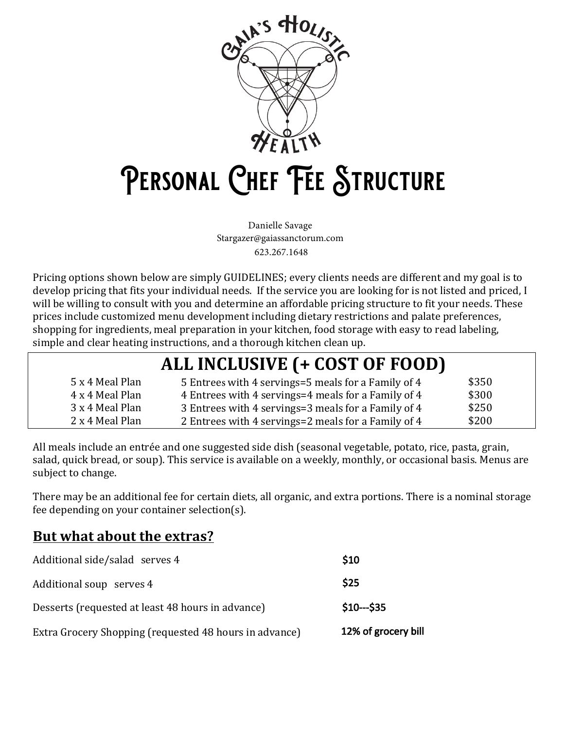

# PERSONAL CHEF FEE STRUCTURE

Danielle Savage Stargazer@gaiassanctorum.com 623.267.1648

Pricing options shown below are simply GUIDELINES; every clients needs are different and my goal is to develop pricing that fits your individual needs. If the service you are looking for is not listed and priced, I will be willing to consult with you and determine an affordable pricing structure to fit your needs. These prices include customized menu development including dietary restrictions and palate preferences, shopping for ingredients, meal preparation in your kitchen, food storage with easy to read labeling, simple and clear heating instructions, and a thorough kitchen clean up.

| ALL INCLUSIVE (+ COST OF FOOD) |                                                     |       |  |  |
|--------------------------------|-----------------------------------------------------|-------|--|--|
| 5 x 4 Meal Plan                | 5 Entrees with 4 servings=5 meals for a Family of 4 | \$350 |  |  |
| 4 x 4 Meal Plan                | 4 Entrees with 4 servings=4 meals for a Family of 4 | \$300 |  |  |
| 3 x 4 Meal Plan                | 3 Entrees with 4 servings=3 meals for a Family of 4 | \$250 |  |  |
| 2 x 4 Meal Plan                | 2 Entrees with 4 servings=2 meals for a Family of 4 | \$200 |  |  |

All meals include an entrée and one suggested side dish (seasonal vegetable, potato, rice, pasta, grain, salad, quick bread, or soup). This service is available on a weekly, monthly, or occasional basis. Menus are subject to change.

There may be an additional fee for certain diets, all organic, and extra portions. There is a nominal storage fee depending on your container selection(s).

### **But what about the extras?**

| Additional side/salad serves 4                         | \$10                |
|--------------------------------------------------------|---------------------|
| Additional soup serves 4                               | \$25                |
| Desserts (requested at least 48 hours in advance)      | $$10--$35$          |
| Extra Grocery Shopping (requested 48 hours in advance) | 12% of grocery bill |